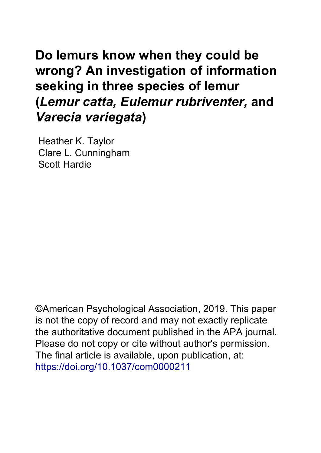# **Do lemurs know when they could be wrong? An investigation of information seeking in three species of lemur (***Lemur catta, Eulemur rubriventer,* **and** *Varecia variegata***)**

Heather K. Taylor Clare L. Cunningham Scott Hardie

©American Psychological Association, 2019. This paper is not the copy of record and may not exactly replicate the authoritative document published in the APA journal. Please do not copy or cite without author's permission. The final article is available, upon publication, at: <https://doi.org/10.1037/com0000211>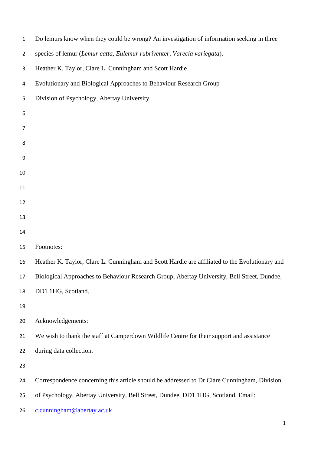| $\mathbf{1}$   | Do lemurs know when they could be wrong? An investigation of information seeking in three      |
|----------------|------------------------------------------------------------------------------------------------|
| $\overline{2}$ | species of lemur (Lemur catta, Eulemur rubriventer, Varecia variegata).                        |
| 3              | Heather K. Taylor, Clare L. Cunningham and Scott Hardie                                        |
| 4              | Evolutionary and Biological Approaches to Behaviour Research Group                             |
| 5              | Division of Psychology, Abertay University                                                     |
| 6              |                                                                                                |
| $\overline{7}$ |                                                                                                |
| 8              |                                                                                                |
| 9              |                                                                                                |
| 10             |                                                                                                |
| 11             |                                                                                                |
| 12             |                                                                                                |
| 13             |                                                                                                |
| 14             |                                                                                                |
| 15             | Footnotes:                                                                                     |
| 16             | Heather K. Taylor, Clare L. Cunningham and Scott Hardie are affiliated to the Evolutionary and |
| 17             | Biological Approaches to Behaviour Research Group, Abertay University, Bell Street, Dundee,    |
| 18             | DD1 1HG, Scotland.                                                                             |
| 19             |                                                                                                |
| 20             | Acknowledgements:                                                                              |
| 21             | We wish to thank the staff at Camperdown Wildlife Centre for their support and assistance      |
| 22             | during data collection.                                                                        |
| 23             |                                                                                                |
| 24             | Correspondence concerning this article should be addressed to Dr Clare Cunningham, Division    |
| 25             | of Psychology, Abertay University, Bell Street, Dundee, DD1 1HG, Scotland, Email:              |
| 26             | c.cunningham@abertay.ac.uk                                                                     |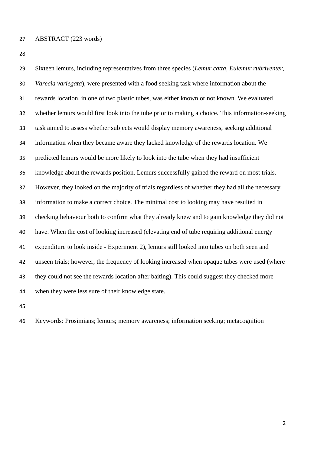Sixteen lemurs, including representatives from three species (*Lemur catta*, *Eulemur rubriventer*, *Varecia variegata*), were presented with a food seeking task where information about the rewards location, in one of two plastic tubes, was either known or not known. We evaluated whether lemurs would first look into the tube prior to making a choice. This information-seeking task aimed to assess whether subjects would display memory awareness, seeking additional information when they became aware they lacked knowledge of the rewards location. We predicted lemurs would be more likely to look into the tube when they had insufficient knowledge about the rewards position. Lemurs successfully gained the reward on most trials. However, they looked on the majority of trials regardless of whether they had all the necessary information to make a correct choice. The minimal cost to looking may have resulted in checking behaviour both to confirm what they already knew and to gain knowledge they did not have. When the cost of looking increased (elevating end of tube requiring additional energy expenditure to look inside - Experiment 2), lemurs still looked into tubes on both seen and unseen trials; however, the frequency of looking increased when opaque tubes were used (where they could not see the rewards location after baiting). This could suggest they checked more when they were less sure of their knowledge state.

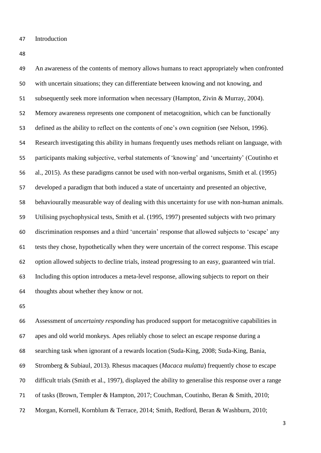Introduction

 An awareness of the contents of memory allows humans to react appropriately when confronted with uncertain situations; they can differentiate between knowing and not knowing, and subsequently seek more information when necessary (Hampton, Zivin & Murray, 2004). Memory awareness represents one component of metacognition, which can be functionally defined as the ability to reflect on the contents of one's own cognition (see Nelson, 1996). Research investigating this ability in humans frequently uses methods reliant on language, with participants making subjective, verbal statements of 'knowing' and 'uncertainty' (Coutinho et al., 2015). As these paradigms cannot be used with non-verbal organisms, Smith et al. (1995) developed a paradigm that both induced a state of uncertainty and presented an objective, behaviourally measurable way of dealing with this uncertainty for use with non-human animals. Utilising psychophysical tests, Smith et al. (1995, 1997) presented subjects with two primary discrimination responses and a third 'uncertain' response that allowed subjects to 'escape' any tests they chose, hypothetically when they were uncertain of the correct response. This escape option allowed subjects to decline trials, instead progressing to an easy, guaranteed win trial. Including this option introduces a meta-level response, allowing subjects to report on their thoughts about whether they know or not.

 Assessment of *uncertainty responding* has produced support for metacognitive capabilities in apes and old world monkeys*.* Apes reliably chose to select an escape response during a searching task when ignorant of a rewards location (Suda-King, 2008; Suda-King, Bania, Stromberg & Subiaul, 2013). Rhesus macaques (*Macaca mulatta*) frequently chose to escape difficult trials (Smith et al., 1997), displayed the ability to generalise this response over a range of tasks (Brown, Templer & Hampton, 2017; Couchman, Coutinho, Beran & Smith, 2010; Morgan, Kornell, Kornblum & Terrace, 2014; Smith, Redford, Beran & Washburn, 2010;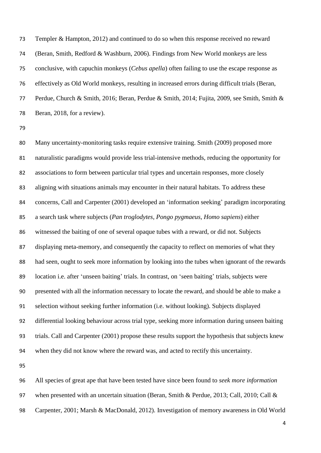Templer & Hampton, 2012) and continued to do so when this response received no reward (Beran, Smith, Redford & Washburn, 2006). Findings from New World monkeys are less conclusive, with capuchin monkeys (*Cebus apella*) often failing to use the escape response as effectively as Old World monkeys, resulting in increased errors during difficult trials (Beran, Perdue, Church & Smith, 2016; Beran, Perdue & Smith, 2014; Fujita, 2009, see Smith, Smith & 78 Beran, 2018, for a review).

 Many uncertainty-monitoring tasks require extensive training. Smith (2009) proposed more naturalistic paradigms would provide less trial-intensive methods, reducing the opportunity for associations to form between particular trial types and uncertain responses, more closely aligning with situations animals may encounter in their natural habitats. To address these concerns, Call and Carpenter (2001) developed an 'information seeking' paradigm incorporating a search task where subjects (*Pan troglodytes*, *Pongo pygmaeus*, *Homo sapiens*) either witnessed the baiting of one of several opaque tubes with a reward, or did not. Subjects displaying meta-memory, and consequently the capacity to reflect on memories of what they had seen, ought to seek more information by looking into the tubes when ignorant of the rewards location i.e. after 'unseen baiting' trials. In contrast, on 'seen baiting' trials, subjects were presented with all the information necessary to locate the reward, and should be able to make a selection without seeking further information (i.e. without looking). Subjects displayed differential looking behaviour across trial type, seeking more information during unseen baiting trials. Call and Carpenter (2001) propose these results support the hypothesis that subjects knew when they did not know where the reward was, and acted to rectify this uncertainty.

 All species of great ape that have been tested have since been found to *seek more information* when presented with an uncertain situation (Beran, Smith & Perdue, 2013; Call, 2010; Call & Carpenter, 2001; Marsh & MacDonald, 2012). Investigation of memory awareness in Old World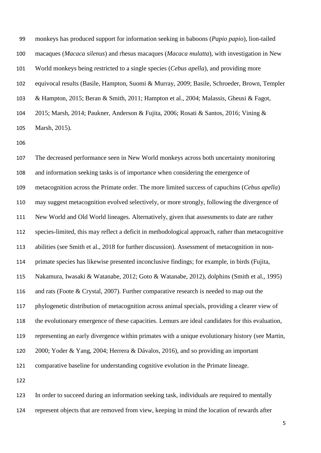monkeys has produced support for information seeking in baboons (*Papio papio*), lion-tailed macaques (*Macaca silenus*) and rhesus macaques (*Macaca mulatta*), with investigation in New World monkeys being restricted to a single species (*Cebus apella*), and providing more equivocal results (Basile, Hampton, Suomi & Murray, 2009; Basile, Schroeder, Brown, Templer & Hampton, 2015; Beran & Smith, 2011; Hampton et al., 2004; Malassis, Gheusi & Fagot, 2015; Marsh, 2014; Paukner, Anderson & Fujita, 2006; Rosati & Santos, 2016; Vining & Marsh, 2015).

 The decreased performance seen in New World monkeys across both uncertainty monitoring and information seeking tasks is of importance when considering the emergence of metacognition across the Primate order. The more limited success of capuchins (*Cebus apella*) may suggest metacognition evolved selectively, or more strongly, following the divergence of New World and Old World lineages. Alternatively, given that assessments to date are rather species-limited, this may reflect a deficit in methodological approach, rather than metacognitive abilities (see Smith et al., 2018 for further discussion). Assessment of metacognition in non- primate species has likewise presented inconclusive findings; for example, in birds (Fujita, Nakamura, Iwasaki & Watanabe, 2012; Goto & Watanabe, 2012), dolphins (Smith et al., 1995) and rats (Foote & Crystal, 2007). Further comparative research is needed to map out the phylogenetic distribution of metacognition across animal specials, providing a clearer view of the evolutionary emergence of these capacities. Lemurs are ideal candidates for this evaluation, representing an early divergence within primates with a unique evolutionary history (see Martin, 2000; Yoder & Yang, 2004; Herrera & Dávalos, 2016), and so providing an important comparative baseline for understanding cognitive evolution in the Primate lineage. 

 In order to succeed during an information seeking task, individuals are required to mentally represent objects that are removed from view, keeping in mind the location of rewards after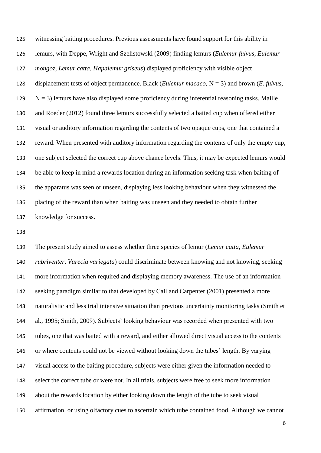witnessing baiting procedures. Previous assessments have found support for this ability in lemurs, with Deppe, Wright and Szelistowski (2009) finding lemurs (*Eulemur fulvus*, *Eulemur mongoz*, *Lemur catta*, *Hapalemur griseus*) displayed proficiency with visible object displacement tests of object permanence. Black (*Eulemur macaco*, N = 3) and brown (*E. fulvus*, N = 3) lemurs have also displayed some proficiency during inferential reasoning tasks. Maille and Roeder (2012) found three lemurs successfully selected a baited cup when offered either visual or auditory information regarding the contents of two opaque cups, one that contained a reward. When presented with auditory information regarding the contents of only the empty cup, one subject selected the correct cup above chance levels. Thus, it may be expected lemurs would be able to keep in mind a rewards location during an information seeking task when baiting of the apparatus was seen or unseen, displaying less looking behaviour when they witnessed the placing of the reward than when baiting was unseen and they needed to obtain further knowledge for success.

 The present study aimed to assess whether three species of lemur (*Lemur catta*, *Eulemur rubriventer*, *Varecia variegata*) could discriminate between knowing and not knowing, seeking more information when required and displaying memory awareness. The use of an information 142 seeking paradigm similar to that developed by Call and Carpenter (2001) presented a more naturalistic and less trial intensive situation than previous uncertainty monitoring tasks (Smith et al., 1995; Smith, 2009). Subjects' looking behaviour was recorded when presented with two tubes, one that was baited with a reward, and either allowed direct visual access to the contents or where contents could not be viewed without looking down the tubes' length. By varying visual access to the baiting procedure, subjects were either given the information needed to select the correct tube or were not. In all trials, subjects were free to seek more information about the rewards location by either looking down the length of the tube to seek visual affirmation, or using olfactory cues to ascertain which tube contained food. Although we cannot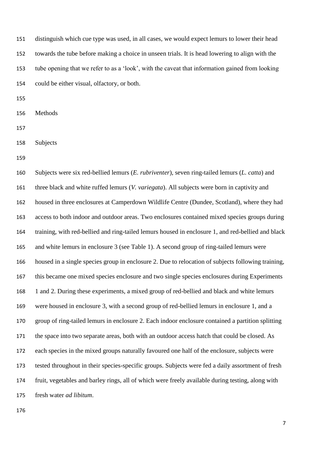distinguish which cue type was used, in all cases, we would expect lemurs to lower their head towards the tube before making a choice in unseen trials. It is head lowering to align with the tube opening that we refer to as a 'look', with the caveat that information gained from looking could be either visual, olfactory, or both.

Methods

Subjects

 Subjects were six red-bellied lemurs (*E. rubriventer*), seven ring-tailed lemurs (*L. catta*) and three black and white ruffed lemurs (*V. variegata*). All subjects were born in captivity and housed in three enclosures at Camperdown Wildlife Centre (Dundee, Scotland), where they had access to both indoor and outdoor areas. Two enclosures contained mixed species groups during training, with red-bellied and ring-tailed lemurs housed in enclosure 1, and red-bellied and black and white lemurs in enclosure 3 (see Table 1). A second group of ring-tailed lemurs were housed in a single species group in enclosure 2. Due to relocation of subjects following training, this became one mixed species enclosure and two single species enclosures during Experiments 1 and 2. During these experiments, a mixed group of red-bellied and black and white lemurs were housed in enclosure 3, with a second group of red-bellied lemurs in enclosure 1, and a group of ring-tailed lemurs in enclosure 2. Each indoor enclosure contained a partition splitting the space into two separate areas, both with an outdoor access hatch that could be closed. As each species in the mixed groups naturally favoured one half of the enclosure, subjects were tested throughout in their species-specific groups. Subjects were fed a daily assortment of fresh fruit, vegetables and barley rings, all of which were freely available during testing, along with fresh water *ad libitum*.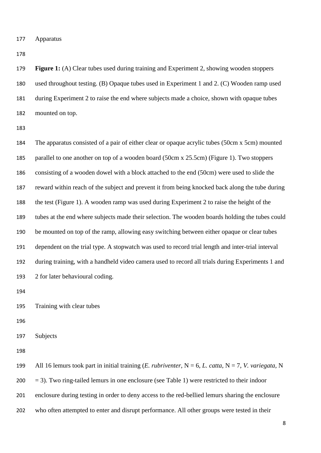Apparatus

 **Figure 1:** (A) Clear tubes used during training and Experiment 2, showing wooden stoppers used throughout testing. (B) Opaque tubes used in Experiment 1 and 2. (C) Wooden ramp used during Experiment 2 to raise the end where subjects made a choice, shown with opaque tubes mounted on top.

 The apparatus consisted of a pair of either clear or opaque acrylic tubes (50cm x 5cm) mounted parallel to one another on top of a wooden board (50cm x 25.5cm) (Figure 1). Two stoppers consisting of a wooden dowel with a block attached to the end (50cm) were used to slide the reward within reach of the subject and prevent it from being knocked back along the tube during the test (Figure 1). A wooden ramp was used during Experiment 2 to raise the height of the tubes at the end where subjects made their selection. The wooden boards holding the tubes could be mounted on top of the ramp, allowing easy switching between either opaque or clear tubes dependent on the trial type. A stopwatch was used to record trial length and inter-trial interval during training, with a handheld video camera used to record all trials during Experiments 1 and 2 for later behavioural coding.

Training with clear tubes

Subjects

 All 16 lemurs took part in initial training (*E. rubriventer*, N = 6, *L. catta*, N = 7, *V. variegata*, N  $200 = 3$ ). Two ring-tailed lemurs in one enclosure (see Table 1) were restricted to their indoor enclosure during testing in order to deny access to the red-bellied lemurs sharing the enclosure who often attempted to enter and disrupt performance. All other groups were tested in their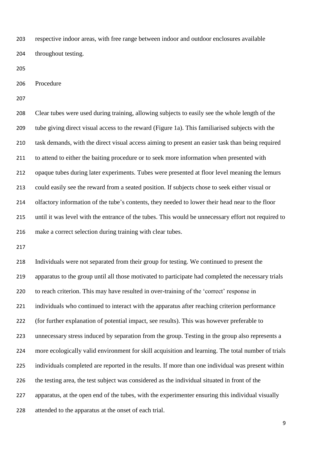respective indoor areas, with free range between indoor and outdoor enclosures available throughout testing.

Procedure

 Clear tubes were used during training, allowing subjects to easily see the whole length of the tube giving direct visual access to the reward (Figure 1a). This familiarised subjects with the task demands, with the direct visual access aiming to present an easier task than being required to attend to either the baiting procedure or to seek more information when presented with opaque tubes during later experiments. Tubes were presented at floor level meaning the lemurs could easily see the reward from a seated position. If subjects chose to seek either visual or olfactory information of the tube's contents, they needed to lower their head near to the floor until it was level with the entrance of the tubes. This would be unnecessary effort not required to make a correct selection during training with clear tubes.

 Individuals were not separated from their group for testing. We continued to present the apparatus to the group until all those motivated to participate had completed the necessary trials to reach criterion. This may have resulted in over-training of the 'correct' response in individuals who continued to interact with the apparatus after reaching criterion performance (for further explanation of potential impact, see results). This was however preferable to unnecessary stress induced by separation from the group. Testing in the group also represents a more ecologically valid environment for skill acquisition and learning. The total number of trials individuals completed are reported in the results. If more than one individual was present within the testing area, the test subject was considered as the individual situated in front of the apparatus, at the open end of the tubes, with the experimenter ensuring this individual visually attended to the apparatus at the onset of each trial.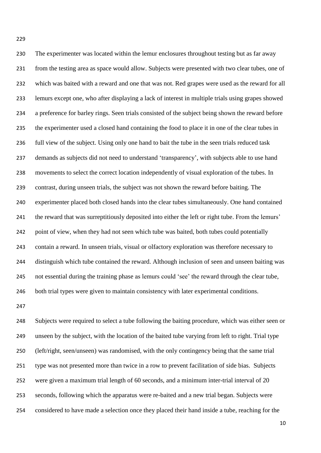The experimenter was located within the lemur enclosures throughout testing but as far away from the testing area as space would allow. Subjects were presented with two clear tubes, one of which was baited with a reward and one that was not. Red grapes were used as the reward for all lemurs except one, who after displaying a lack of interest in multiple trials using grapes showed a preference for barley rings. Seen trials consisted of the subject being shown the reward before the experimenter used a closed hand containing the food to place it in one of the clear tubes in full view of the subject. Using only one hand to bait the tube in the seen trials reduced task demands as subjects did not need to understand 'transparency', with subjects able to use hand movements to select the correct location independently of visual exploration of the tubes. In contrast, during unseen trials, the subject was not shown the reward before baiting. The experimenter placed both closed hands into the clear tubes simultaneously. One hand contained the reward that was surreptitiously deposited into either the left or right tube. From the lemurs' 242 point of view, when they had not seen which tube was baited, both tubes could potentially contain a reward. In unseen trials, visual or olfactory exploration was therefore necessary to distinguish which tube contained the reward. Although inclusion of seen and unseen baiting was not essential during the training phase as lemurs could 'see' the reward through the clear tube, both trial types were given to maintain consistency with later experimental conditions.

 Subjects were required to select a tube following the baiting procedure, which was either seen or unseen by the subject, with the location of the baited tube varying from left to right. Trial type (left/right, seen/unseen) was randomised, with the only contingency being that the same trial type was not presented more than twice in a row to prevent facilitation of side bias. Subjects 252 were given a maximum trial length of 60 seconds, and a minimum inter-trial interval of 20 seconds, following which the apparatus were re-baited and a new trial began. Subjects were considered to have made a selection once they placed their hand inside a tube, reaching for the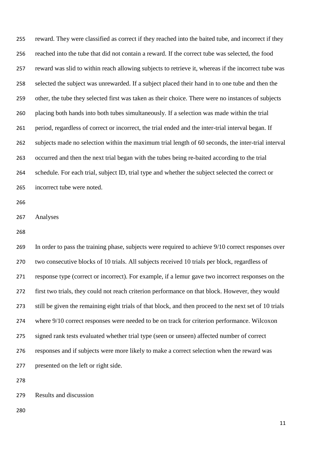reward. They were classified as correct if they reached into the baited tube, and incorrect if they reached into the tube that did not contain a reward. If the correct tube was selected, the food reward was slid to within reach allowing subjects to retrieve it, whereas if the incorrect tube was selected the subject was unrewarded. If a subject placed their hand in to one tube and then the other, the tube they selected first was taken as their choice. There were no instances of subjects placing both hands into both tubes simultaneously. If a selection was made within the trial period, regardless of correct or incorrect, the trial ended and the inter-trial interval began. If subjects made no selection within the maximum trial length of 60 seconds, the inter-trial interval occurred and then the next trial began with the tubes being re-baited according to the trial schedule. For each trial, subject ID, trial type and whether the subject selected the correct or incorrect tube were noted.

Analyses

 In order to pass the training phase, subjects were required to achieve 9/10 correct responses over two consecutive blocks of 10 trials. All subjects received 10 trials per block, regardless of response type (correct or incorrect). For example, if a lemur gave two incorrect responses on the first two trials, they could not reach criterion performance on that block. However, they would still be given the remaining eight trials of that block, and then proceed to the next set of 10 trials where 9/10 correct responses were needed to be on track for criterion performance. Wilcoxon signed rank tests evaluated whether trial type (seen or unseen) affected number of correct responses and if subjects were more likely to make a correct selection when the reward was presented on the left or right side.

Results and discussion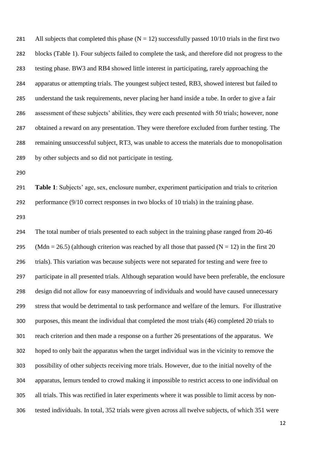281 All subjects that completed this phase  $(N = 12)$  successfully passed 10/10 trials in the first two blocks (Table 1). Four subjects failed to complete the task, and therefore did not progress to the testing phase. BW3 and RB4 showed little interest in participating, rarely approaching the apparatus or attempting trials. The youngest subject tested, RB3, showed interest but failed to understand the task requirements, never placing her hand inside a tube. In order to give a fair assessment of these subjects' abilities, they were each presented with 50 trials; however, none obtained a reward on any presentation. They were therefore excluded from further testing. The remaining unsuccessful subject, RT3, was unable to access the materials due to monopolisation by other subjects and so did not participate in testing.

 **Table 1**: Subjects' age, sex, enclosure number, experiment participation and trials to criterion performance (9/10 correct responses in two blocks of 10 trials) in the training phase.

 The total number of trials presented to each subject in the training phase ranged from 20-46 295 (Mdn = 26.5) (although criterion was reached by all those that passed (N = 12) in the first 20 trials). This variation was because subjects were not separated for testing and were free to participate in all presented trials. Although separation would have been preferable, the enclosure design did not allow for easy manoeuvring of individuals and would have caused unnecessary stress that would be detrimental to task performance and welfare of the lemurs. For illustrative purposes, this meant the individual that completed the most trials (46) completed 20 trials to reach criterion and then made a response on a further 26 presentations of the apparatus. We hoped to only bait the apparatus when the target individual was in the vicinity to remove the possibility of other subjects receiving more trials. However, due to the initial novelty of the apparatus, lemurs tended to crowd making it impossible to restrict access to one individual on all trials. This was rectified in later experiments where it was possible to limit access by non-tested individuals. In total, 352 trials were given across all twelve subjects, of which 351 were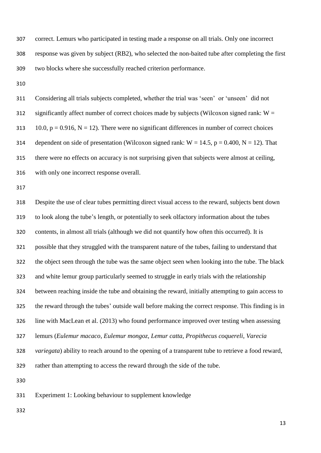correct. Lemurs who participated in testing made a response on all trials. Only one incorrect response was given by subject (RB2), who selected the non-baited tube after completing the first two blocks where she successfully reached criterion performance.

 Considering all trials subjects completed, whether the trial was 'seen' or 'unseen' did not 312 significantly affect number of correct choices made by subjects (Wilcoxon signed rank:  $W =$ 313 10.0,  $p = 0.916$ ,  $N = 12$ ). There were no significant differences in number of correct choices 314 dependent on side of presentation (Wilcoxon signed rank:  $W = 14.5$ ,  $p = 0.400$ ,  $N = 12$ ). That there were no effects on accuracy is not surprising given that subjects were almost at ceiling, with only one incorrect response overall.

 Despite the use of clear tubes permitting direct visual access to the reward, subjects bent down to look along the tube's length, or potentially to seek olfactory information about the tubes contents, in almost all trials (although we did not quantify how often this occurred). It is possible that they struggled with the transparent nature of the tubes, failing to understand that the object seen through the tube was the same object seen when looking into the tube. The black and white lemur group particularly seemed to struggle in early trials with the relationship between reaching inside the tube and obtaining the reward, initially attempting to gain access to the reward through the tubes' outside wall before making the correct response. This finding is in line with MacLean et al. (2013) who found performance improved over testing when assessing lemurs (*Eulemur macaco*, *Eulemur mongoz*, *Lemur catta*, *Propithecus coquereli*, *Varecia variegata*) ability to reach around to the opening of a transparent tube to retrieve a food reward, rather than attempting to access the reward through the side of the tube. 

Experiment 1: Looking behaviour to supplement knowledge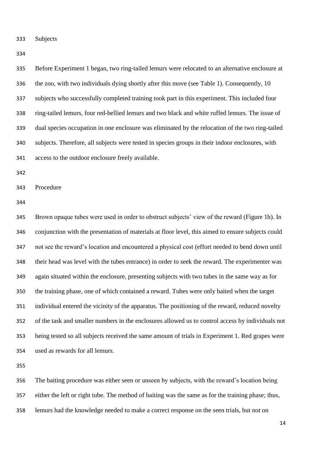Subjects

 Before Experiment 1 began, two ring-tailed lemurs were relocated to an alternative enclosure at the zoo, with two individuals dying shortly after this move (see Table 1). Consequently, 10 subjects who successfully completed training took part in this experiment. This included four ring-tailed lemurs, four red-bellied lemurs and two black and white ruffed lemurs. The issue of dual species occupation in one enclosure was eliminated by the relocation of the two ring-tailed subjects. Therefore, all subjects were tested in species groups in their indoor enclosures, with access to the outdoor enclosure freely available.

Procedure

 Brown opaque tubes were used in order to obstruct subjects' view of the reward (Figure 1b). In conjunction with the presentation of materials at floor level, this aimed to ensure subjects could not see the reward's location and encountered a physical cost (effort needed to bend down until their head was level with the tubes entrance) in order to seek the reward. The experimenter was again situated within the enclosure, presenting subjects with two tubes in the same way as for the training phase, one of which contained a reward. Tubes were only baited when the target individual entered the vicinity of the apparatus. The positioning of the reward, reduced novelty of the task and smaller numbers in the enclosures allowed us to control access by individuals not being tested so all subjects received the same amount of trials in Experiment 1. Red grapes were used as rewards for all lemurs.

 The baiting procedure was either seen or unseen by subjects, with the reward's location being either the left or right tube. The method of baiting was the same as for the training phase; thus, lemurs had the knowledge needed to make a correct response on the seen trials, but not on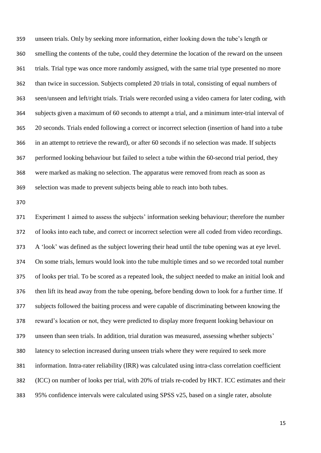unseen trials. Only by seeking more information, either looking down the tube's length or smelling the contents of the tube, could they determine the location of the reward on the unseen trials. Trial type was once more randomly assigned, with the same trial type presented no more than twice in succession. Subjects completed 20 trials in total, consisting of equal numbers of seen/unseen and left/right trials. Trials were recorded using a video camera for later coding, with subjects given a maximum of 60 seconds to attempt a trial, and a minimum inter-trial interval of 20 seconds. Trials ended following a correct or incorrect selection (insertion of hand into a tube in an attempt to retrieve the reward), or after 60 seconds if no selection was made. If subjects performed looking behaviour but failed to select a tube within the 60-second trial period, they were marked as making no selection. The apparatus were removed from reach as soon as selection was made to prevent subjects being able to reach into both tubes.

 Experiment 1 aimed to assess the subjects' information seeking behaviour; therefore the number of looks into each tube, and correct or incorrect selection were all coded from video recordings. A 'look' was defined as the subject lowering their head until the tube opening was at eye level. On some trials, lemurs would look into the tube multiple times and so we recorded total number of looks per trial. To be scored as a repeated look, the subject needed to make an initial look and then lift its head away from the tube opening, before bending down to look for a further time. If subjects followed the baiting process and were capable of discriminating between knowing the reward's location or not, they were predicted to display more frequent looking behaviour on unseen than seen trials. In addition, trial duration was measured, assessing whether subjects' latency to selection increased during unseen trials where they were required to seek more information. Intra-rater reliability (IRR) was calculated using intra-class correlation coefficient (ICC) on number of looks per trial, with 20% of trials re-coded by HKT. ICC estimates and their 95% confidence intervals were calculated using SPSS v25, based on a single rater, absolute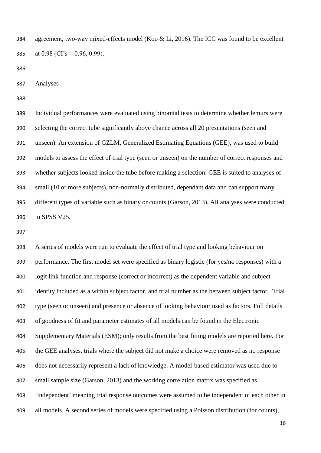agreement, two-way mixed-effects model (Koo & Li, 2016). The ICC was found to be excellent 385 at 0.98 (CI's = 0.96, 0.99).

Analyses

 Individual performances were evaluated using binomial tests to determine whether lemurs were selecting the correct tube significantly above chance across all 20 presentations (seen and unseen). An extension of GZLM, Generalized Estimating Equations (GEE), was used to build models to assess the effect of trial type (seen or unseen) on the number of correct responses and whether subjects looked inside the tube before making a selection. GEE is suited to analyses of small (10 or more subjects), non-normally distributed, dependant data and can support many different types of variable such as binary or counts (Garson, 2013). All analyses were conducted in SPSS V25.

 A series of models were run to evaluate the effect of trial type and looking behaviour on performance. The first model set were specified as binary logistic (for yes/no responses) with a logit link function and response (correct or incorrect) as the dependent variable and subject identity included as a within subject factor, and trial number as the between subject factor. Trial type (seen or unseen) and presence or absence of looking behaviour used as factors. Full details of goodness of fit and parameter estimates of all models can be found in the Electronic Supplementary Materials (ESM); only results from the best fitting models are reported here. For the GEE analyses, trials where the subject did not make a choice were removed as no response does not necessarily represent a lack of knowledge. A model-based estimator was used due to small sample size (Garson, 2013) and the working correlation matrix was specified as 'independent' meaning trial response outcomes were assumed to be independent of each other in all models. A second series of models were specified using a Poisson distribution (for counts),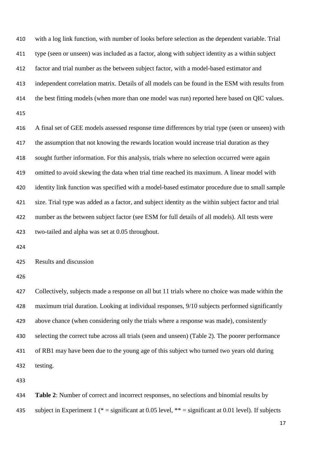with a log link function, with number of looks before selection as the dependent variable. Trial type (seen or unseen) was included as a factor, along with subject identity as a within subject factor and trial number as the between subject factor, with a model-based estimator and independent correlation matrix. Details of all models can be found in the ESM with results from the best fitting models (when more than one model was run) reported here based on QIC values. A final set of GEE models assessed response time differences by trial type (seen or unseen) with 417 the assumption that not knowing the rewards location would increase trial duration as they sought further information. For this analysis, trials where no selection occurred were again omitted to avoid skewing the data when trial time reached its maximum. A linear model with identity link function was specified with a model-based estimator procedure due to small sample size. Trial type was added as a factor, and subject identity as the within subject factor and trial number as the between subject factor (see ESM for full details of all models). All tests were two-tailed and alpha was set at 0.05 throughout. Results and discussion Collectively, subjects made a response on all but 11 trials where no choice was made within the maximum trial duration. Looking at individual responses, 9/10 subjects performed significantly above chance (when considering only the trials where a response was made), consistently selecting the correct tube across all trials (seen and unseen) (Table 2). The poorer performance of RB1 may have been due to the young age of this subject who turned two years old during testing. **Table 2**: Number of correct and incorrect responses, no selections and binomial results by

435 subject in Experiment 1 (\* = significant at 0.05 level, \*\* = significant at 0.01 level). If subjects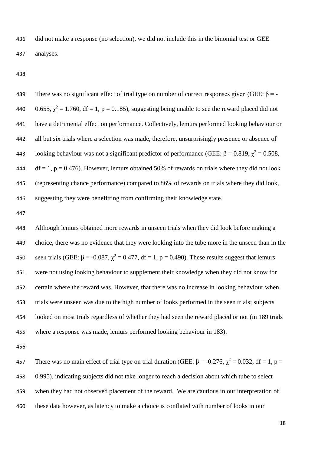did not make a response (no selection), we did not include this in the binomial test or GEE analyses.

439 There was no significant effect of trial type on number of correct responses given (GEE:  $\beta$  = -440 0.655,  $\chi^2 = 1.760$ , df = 1, p = 0.185), suggesting being unable to see the reward placed did not have a detrimental effect on performance. Collectively, lemurs performed looking behaviour on all but six trials where a selection was made, therefore, unsurprisingly presence or absence of 443 looking behaviour was not a significant predictor of performance (GEE:  $\beta = 0.819$ ,  $\chi^2 = 0.508$ , 444 df = 1, p = 0.476). However, lemurs obtained 50% of rewards on trials where they did not look (representing chance performance) compared to 86% of rewards on trials where they did look, suggesting they were benefitting from confirming their knowledge state.

 Although lemurs obtained more rewards in unseen trials when they did look before making a choice, there was no evidence that they were looking into the tube more in the unseen than in the 450 seen trials (GEE: β = -0.087,  $\chi^2$  = 0.477, df = 1, p = 0.490). These results suggest that lemurs were not using looking behaviour to supplement their knowledge when they did not know for certain where the reward was. However, that there was no increase in looking behaviour when trials were unseen was due to the high number of looks performed in the seen trials; subjects looked on most trials regardless of whether they had seen the reward placed or not (in 189 trials where a response was made, lemurs performed looking behaviour in 183).

457 There was no main effect of trial type on trial duration (GEE:  $\beta$  = -0.276,  $\chi^2$  = 0.032, df = 1, p = 0.995), indicating subjects did not take longer to reach a decision about which tube to select when they had not observed placement of the reward. We are cautious in our interpretation of these data however, as latency to make a choice is conflated with number of looks in our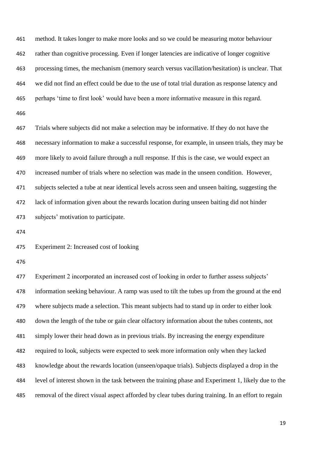method. It takes longer to make more looks and so we could be measuring motor behaviour rather than cognitive processing. Even if longer latencies are indicative of longer cognitive processing times, the mechanism (memory search versus vacillation/hesitation) is unclear. That we did not find an effect could be due to the use of total trial duration as response latency and perhaps 'time to first look' would have been a more informative measure in this regard.

 Trials where subjects did not make a selection may be informative. If they do not have the necessary information to make a successful response, for example, in unseen trials, they may be more likely to avoid failure through a null response. If this is the case, we would expect an increased number of trials where no selection was made in the unseen condition. However, subjects selected a tube at near identical levels across seen and unseen baiting, suggesting the lack of information given about the rewards location during unseen baiting did not hinder subjects' motivation to participate.

Experiment 2: Increased cost of looking

 Experiment 2 incorporated an increased cost of looking in order to further assess subjects' information seeking behaviour. A ramp was used to tilt the tubes up from the ground at the end where subjects made a selection. This meant subjects had to stand up in order to either look down the length of the tube or gain clear olfactory information about the tubes contents, not simply lower their head down as in previous trials. By increasing the energy expenditure required to look, subjects were expected to seek more information only when they lacked knowledge about the rewards location (unseen/opaque trials). Subjects displayed a drop in the level of interest shown in the task between the training phase and Experiment 1, likely due to the removal of the direct visual aspect afforded by clear tubes during training. In an effort to regain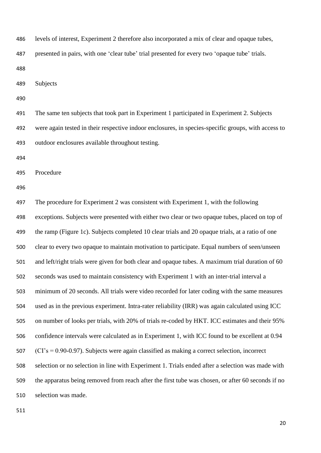levels of interest, Experiment 2 therefore also incorporated a mix of clear and opaque tubes,

presented in pairs, with one 'clear tube' trial presented for every two 'opaque tube' trials.

Subjects

 The same ten subjects that took part in Experiment 1 participated in Experiment 2. Subjects were again tested in their respective indoor enclosures, in species-specific groups, with access to outdoor enclosures available throughout testing.

Procedure

 The procedure for Experiment 2 was consistent with Experiment 1, with the following exceptions. Subjects were presented with either two clear or two opaque tubes, placed on top of the ramp (Figure 1c). Subjects completed 10 clear trials and 20 opaque trials, at a ratio of one clear to every two opaque to maintain motivation to participate. Equal numbers of seen/unseen and left/right trials were given for both clear and opaque tubes. A maximum trial duration of 60 seconds was used to maintain consistency with Experiment 1 with an inter-trial interval a minimum of 20 seconds. All trials were video recorded for later coding with the same measures used as in the previous experiment. Intra-rater reliability (IRR) was again calculated using ICC on number of looks per trials, with 20% of trials re-coded by HKT. ICC estimates and their 95% confidence intervals were calculated as in Experiment 1, with ICC found to be excellent at 0.94 (CI's = 0.90-0.97). Subjects were again classified as making a correct selection, incorrect selection or no selection in line with Experiment 1. Trials ended after a selection was made with the apparatus being removed from reach after the first tube was chosen, or after 60 seconds if no selection was made.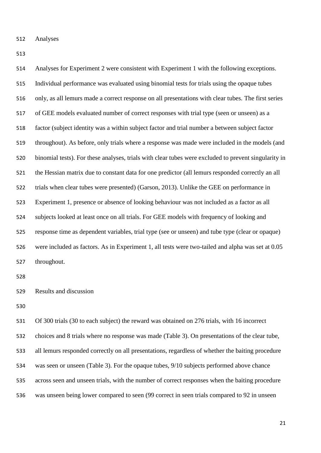Analyses

 Analyses for Experiment 2 were consistent with Experiment 1 with the following exceptions. Individual performance was evaluated using binomial tests for trials using the opaque tubes only, as all lemurs made a correct response on all presentations with clear tubes. The first series of GEE models evaluated number of correct responses with trial type (seen or unseen) as a factor (subject identity was a within subject factor and trial number a between subject factor throughout). As before, only trials where a response was made were included in the models (and binomial tests). For these analyses, trials with clear tubes were excluded to prevent singularity in the Hessian matrix due to constant data for one predictor (all lemurs responded correctly an all trials when clear tubes were presented) (Garson, 2013). Unlike the GEE on performance in Experiment 1, presence or absence of looking behaviour was not included as a factor as all subjects looked at least once on all trials. For GEE models with frequency of looking and response time as dependent variables, trial type (see or unseen) and tube type (clear or opaque) were included as factors. As in Experiment 1, all tests were two-tailed and alpha was set at 0.05 throughout. 

Results and discussion

 Of 300 trials (30 to each subject) the reward was obtained on 276 trials, with 16 incorrect choices and 8 trials where no response was made (Table 3). On presentations of the clear tube, all lemurs responded correctly on all presentations, regardless of whether the baiting procedure was seen or unseen (Table 3). For the opaque tubes, 9/10 subjects performed above chance across seen and unseen trials, with the number of correct responses when the baiting procedure was unseen being lower compared to seen (99 correct in seen trials compared to 92 in unseen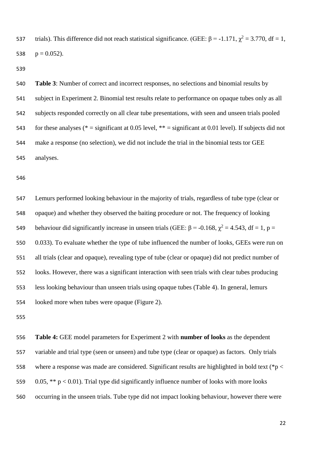537 trials). This difference did not reach statistical significance. (GEE:  $\beta$  = -1.171,  $\chi^2$  = 3.770, df = 1, 538  $p = 0.052$ ).

 **Table 3**: Number of correct and incorrect responses, no selections and binomial results by subject in Experiment 2. Binomial test results relate to performance on opaque tubes only as all subjects responded correctly on all clear tube presentations, with seen and unseen trials pooled 543 for these analyses (\* = significant at 0.05 level, \*\* = significant at 0.01 level). If subjects did not make a response (no selection), we did not include the trial in the binomial tests tor GEE analyses.

 Lemurs performed looking behaviour in the majority of trials, regardless of tube type (clear or opaque) and whether they observed the baiting procedure or not. The frequency of looking 549 behaviour did significantly increase in unseen trials (GEE: β = -0.168,  $\chi^2$  = 4.543, df = 1, p = 0.033). To evaluate whether the type of tube influenced the number of looks, GEEs were run on all trials (clear and opaque), revealing type of tube (clear or opaque) did not predict number of looks. However, there was a significant interaction with seen trials with clear tubes producing less looking behaviour than unseen trials using opaque tubes (Table 4). In general, lemurs looked more when tubes were opaque (Figure 2).

 **Table 4:** GEE model parameters for Experiment 2 with **number of looks** as the dependent variable and trial type (seen or unseen) and tube type (clear or opaque) as factors. Only trials 558 where a response was made are considered. Significant results are highlighted in bold text (\*p < 559 0.05, \*\*  $p < 0.01$ ). Trial type did significantly influence number of looks with more looks occurring in the unseen trials. Tube type did not impact looking behaviour, however there were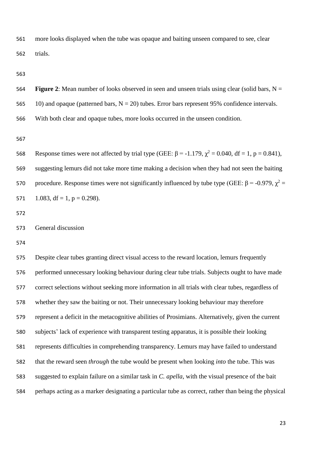more looks displayed when the tube was opaque and baiting unseen compared to see, clear trials.

564 **Figure 2**: Mean number of looks observed in seen and unseen trials using clear (solid bars,  $N =$ 565 10) and opaque (patterned bars,  $N = 20$ ) tubes. Error bars represent 95% confidence intervals. With both clear and opaque tubes, more looks occurred in the unseen condition.

568 Response times were not affected by trial type (GEE:  $\beta$  = -1.179,  $\chi^2$  = 0.040, df = 1, p = 0.841), suggesting lemurs did not take more time making a decision when they had not seen the baiting 570 procedure. Response times were not significantly influenced by tube type (GEE: β = -0.979,  $\chi^2$  = 571 1.083, df = 1, p = 0.298).

 Despite clear tubes granting direct visual access to the reward location, lemurs frequently performed unnecessary looking behaviour during clear tube trials. Subjects ought to have made correct selections without seeking more information in all trials with clear tubes, regardless of whether they saw the baiting or not. Their unnecessary looking behaviour may therefore represent a deficit in the metacognitive abilities of Prosimians. Alternatively, given the current subjects' lack of experience with transparent testing apparatus, it is possible their looking represents difficulties in comprehending transparency. Lemurs may have failed to understand that the reward seen *through* the tube would be present when looking *into* the tube. This was suggested to explain failure on a similar task in *C. apella*, with the visual presence of the bait perhaps acting as a marker designating a particular tube as correct, rather than being the physical

General discussion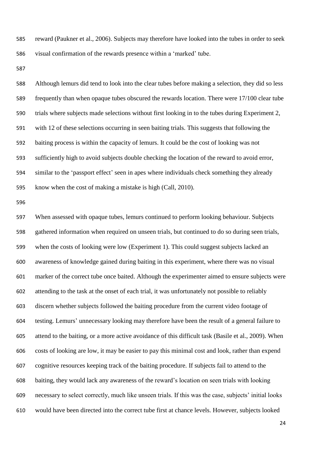reward (Paukner et al., 2006). Subjects may therefore have looked into the tubes in order to seek visual confirmation of the rewards presence within a 'marked' tube.

 Although lemurs did tend to look into the clear tubes before making a selection, they did so less frequently than when opaque tubes obscured the rewards location. There were 17/100 clear tube trials where subjects made selections without first looking in to the tubes during Experiment 2, with 12 of these selections occurring in seen baiting trials. This suggests that following the baiting process is within the capacity of lemurs. It could be the cost of looking was not sufficiently high to avoid subjects double checking the location of the reward to avoid error, similar to the 'passport effect' seen in apes where individuals check something they already know when the cost of making a mistake is high (Call, 2010).

 When assessed with opaque tubes, lemurs continued to perform looking behaviour. Subjects gathered information when required on unseen trials, but continued to do so during seen trials, when the costs of looking were low (Experiment 1). This could suggest subjects lacked an awareness of knowledge gained during baiting in this experiment, where there was no visual marker of the correct tube once baited. Although the experimenter aimed to ensure subjects were attending to the task at the onset of each trial, it was unfortunately not possible to reliably discern whether subjects followed the baiting procedure from the current video footage of testing. Lemurs' unnecessary looking may therefore have been the result of a general failure to attend to the baiting, or a more active avoidance of this difficult task (Basile et al., 2009). When costs of looking are low, it may be easier to pay this minimal cost and look, rather than expend cognitive resources keeping track of the baiting procedure. If subjects fail to attend to the baiting, they would lack any awareness of the reward's location on seen trials with looking necessary to select correctly, much like unseen trials. If this was the case, subjects' initial looks would have been directed into the correct tube first at chance levels. However, subjects looked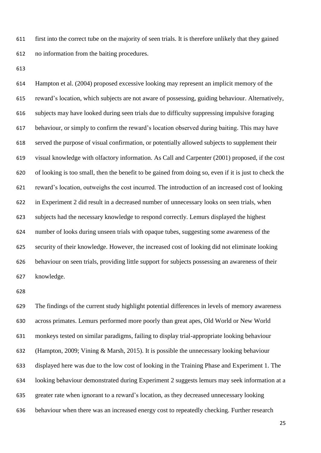first into the correct tube on the majority of seen trials. It is therefore unlikely that they gained no information from the baiting procedures.

 Hampton et al. (2004) proposed excessive looking may represent an implicit memory of the reward's location, which subjects are not aware of possessing, guiding behaviour. Alternatively, subjects may have looked during seen trials due to difficulty suppressing impulsive foraging behaviour, or simply to confirm the reward's location observed during baiting. This may have served the purpose of visual confirmation, or potentially allowed subjects to supplement their visual knowledge with olfactory information. As Call and Carpenter (2001) proposed, if the cost of looking is too small, then the benefit to be gained from doing so, even if it is just to check the reward's location, outweighs the cost incurred. The introduction of an increased cost of looking in Experiment 2 did result in a decreased number of unnecessary looks on seen trials, when subjects had the necessary knowledge to respond correctly. Lemurs displayed the highest number of looks during unseen trials with opaque tubes, suggesting some awareness of the security of their knowledge. However, the increased cost of looking did not eliminate looking behaviour on seen trials, providing little support for subjects possessing an awareness of their knowledge.

 The findings of the current study highlight potential differences in levels of memory awareness across primates. Lemurs performed more poorly than great apes, Old World or New World monkeys tested on similar paradigms, failing to display trial-appropriate looking behaviour (Hampton, 2009; Vining & Marsh, 2015). It is possible the unnecessary looking behaviour displayed here was due to the low cost of looking in the Training Phase and Experiment 1. The looking behaviour demonstrated during Experiment 2 suggests lemurs may seek information at a greater rate when ignorant to a reward's location, as they decreased unnecessary looking behaviour when there was an increased energy cost to repeatedly checking. Further research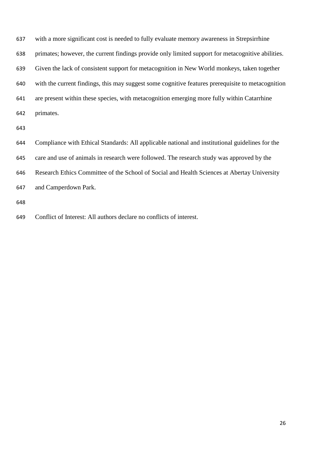| 637 | with a more significant cost is needed to fully evaluate memory awareness in Strepsirrhine        |
|-----|---------------------------------------------------------------------------------------------------|
| 638 | primates; however, the current findings provide only limited support for metacognitive abilities. |
| 639 | Given the lack of consistent support for metacognition in New World monkeys, taken together       |
| 640 | with the current findings, this may suggest some cognitive features prerequisite to metacognition |
| 641 | are present within these species, with metacognition emerging more fully within Catarrhine        |
| 642 | primates.                                                                                         |
| 643 |                                                                                                   |
| 644 | Compliance with Ethical Standards: All applicable national and institutional guidelines for the   |
| 645 | care and use of animals in research were followed. The research study was approved by the         |
| 646 | Research Ethics Committee of the School of Social and Health Sciences at Abertay University       |
| 647 | and Camperdown Park.                                                                              |
|     |                                                                                                   |

Conflict of Interest: All authors declare no conflicts of interest.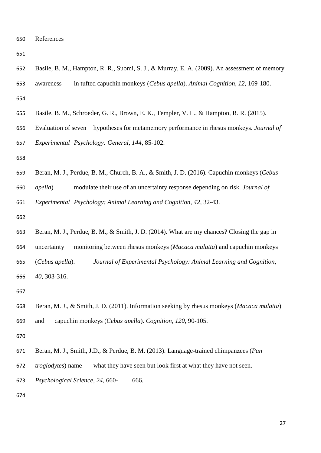| v<br>۰.<br>۰.<br>I<br>۰.<br>۰.<br>w |
|-------------------------------------|
|-------------------------------------|

- Basile, B. M., Hampton, R. R., Suomi, S. J., & Murray, E. A. (2009). An assessment of memory awareness in tufted capuchin monkeys (*Cebus apella*). *Animal Cognition, 12*, 169-180.
- Basile, B. M., Schroeder, G. R., Brown, E. K., Templer, V. L., & Hampton, R. R. (2015).
- Evaluation of seven hypotheses for metamemory performance in rhesus monkeys. *Journal of Experimental Psychology: General, 144*, 85-102.
- 
- Beran, M. J., Perdue, B. M., Church, B. A., & Smith, J. D. (2016). Capuchin monkeys (*Cebus*
- *apella*) modulate their use of an uncertainty response depending on risk. *Journal of*

*Experimental Psychology: Animal Learning and Cognition, 42*, 32-43.

- 
- Beran, M. J., Perdue, B. M., & Smith, J. D. (2014). What are my chances? Closing the gap in uncertainty monitoring between rhesus monkeys (*Macaca mulatta*) and capuchin monkeys (*Cebus apella*). *Journal of Experimental Psychology: Animal Learning and Cognition, 40*, 303-316.

- Beran, M. J., & Smith, J. D. (2011). Information seeking by rhesus monkeys (*Macaca mulatta*) and capuchin monkeys (*Cebus apella*). *Cognition, 120*, 90-105.
- 
- Beran, M. J., Smith, J.D., & Perdue, B. M. (2013). Language-trained chimpanzees (*Pan*
- *troglodytes*) name what they have seen but look first at what they have not seen.
- *Psychological Science, 24*, 660- 666.
-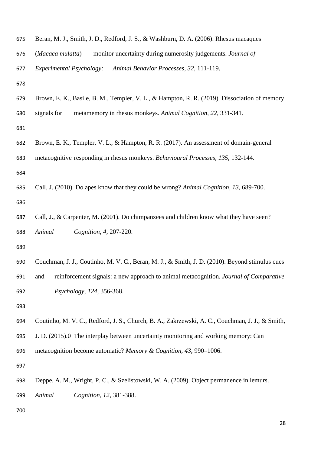| 675 | Beran, M. J., Smith, J. D., Redford, J. S., & Washburn, D. A. (2006). Rhesus macaques           |
|-----|-------------------------------------------------------------------------------------------------|
| 676 | monitor uncertainty during numerosity judgements. Journal of<br>(Macaca mulatta)                |
| 677 | <b>Experimental Psychology:</b><br>Animal Behavior Processes, 32, 111-119.                      |
| 678 |                                                                                                 |
| 679 | Brown, E. K., Basile, B. M., Templer, V. L., & Hampton, R. R. (2019). Dissociation of memory    |
| 680 | signals for<br>metamemory in rhesus monkeys. Animal Cognition, 22, 331-341.                     |
| 681 |                                                                                                 |
| 682 | Brown, E. K., Templer, V. L., & Hampton, R. R. (2017). An assessment of domain-general          |
| 683 | metacognitive responding in rhesus monkeys. Behavioural Processes, 135, 132-144.                |
| 684 |                                                                                                 |
| 685 | Call, J. (2010). Do apes know that they could be wrong? Animal Cognition, 13, 689-700.          |
| 686 |                                                                                                 |
| 687 | Call, J., & Carpenter, M. (2001). Do chimpanzees and children know what they have seen?         |
| 688 | Animal<br>Cognition, 4, 207-220.                                                                |
| 689 |                                                                                                 |
| 690 | Couchman, J. J., Coutinho, M. V. C., Beran, M. J., & Smith, J. D. (2010). Beyond stimulus cues  |
| 691 | reinforcement signals: a new approach to animal metacognition. Journal of Comparative<br>and    |
| 692 |                                                                                                 |
|     | Psychology, 124, 356-368.                                                                       |
| 693 |                                                                                                 |
| 694 | Coutinho, M. V. C., Redford, J. S., Church, B. A., Zakrzewski, A. C., Couchman, J. J., & Smith, |
| 695 | J. D. (2015).0 The interplay between uncertainty monitoring and working memory: Can             |
| 696 | metacognition become automatic? Memory & Cognition, 43, 990–1006.                               |
| 697 |                                                                                                 |
| 698 | Deppe, A. M., Wright, P. C., & Szelistowski, W. A. (2009). Object permanence in lemurs.         |
| 699 | Animal<br>Cognition, 12, 381-388.                                                               |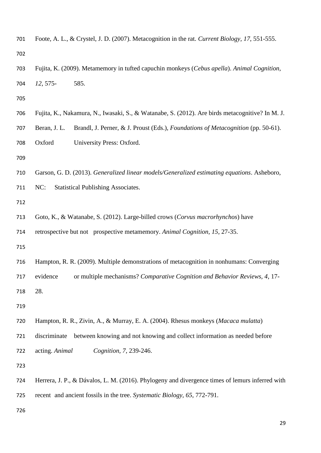| 701 | Foote, A. L., & Crystel, J. D. (2007). Metacognition in the rat. Current Biology, 17, 551-555. |                                                                                                 |  |  |  |  |  |  |
|-----|------------------------------------------------------------------------------------------------|-------------------------------------------------------------------------------------------------|--|--|--|--|--|--|
| 702 |                                                                                                |                                                                                                 |  |  |  |  |  |  |
| 703 | Fujita, K. (2009). Metamemory in tufted capuchin monkeys (Cebus apella). Animal Cognition,     |                                                                                                 |  |  |  |  |  |  |
| 704 | $12,575-$                                                                                      | 585.                                                                                            |  |  |  |  |  |  |
| 705 |                                                                                                |                                                                                                 |  |  |  |  |  |  |
| 706 |                                                                                                | Fujita, K., Nakamura, N., Iwasaki, S., & Watanabe, S. (2012). Are birds metacognitive? In M. J. |  |  |  |  |  |  |
| 707 | Beran, J. L.                                                                                   | Brandl, J. Perner, & J. Proust (Eds.), <i>Foundations of Metacognition</i> (pp. 50-61).         |  |  |  |  |  |  |
| 708 | Oxford                                                                                         | University Press: Oxford.                                                                       |  |  |  |  |  |  |
| 709 |                                                                                                |                                                                                                 |  |  |  |  |  |  |
| 710 |                                                                                                | Garson, G. D. (2013). Generalized linear models/Generalized estimating equations. Asheboro,     |  |  |  |  |  |  |
| 711 | NC:                                                                                            | <b>Statistical Publishing Associates.</b>                                                       |  |  |  |  |  |  |
| 712 |                                                                                                |                                                                                                 |  |  |  |  |  |  |
| 713 |                                                                                                | Goto, K., & Watanabe, S. (2012). Large-billed crows (Corvus macrorhynchos) have                 |  |  |  |  |  |  |
| 714 |                                                                                                | retrospective but not prospective metamemory. Animal Cognition, 15, 27-35.                      |  |  |  |  |  |  |
| 715 |                                                                                                |                                                                                                 |  |  |  |  |  |  |
| 716 |                                                                                                | Hampton, R. R. (2009). Multiple demonstrations of metacognition in nonhumans: Converging        |  |  |  |  |  |  |
| 717 |                                                                                                | evidence or multiple mechanisms? Comparative Cognition and Behavior Reviews, 4, 17-             |  |  |  |  |  |  |
| 718 | 28.                                                                                            |                                                                                                 |  |  |  |  |  |  |
| 719 |                                                                                                |                                                                                                 |  |  |  |  |  |  |
| 720 |                                                                                                | Hampton, R. R., Zivin, A., & Murray, E. A. (2004). Rhesus monkeys (Macaca mulatta)              |  |  |  |  |  |  |
| 721 | discriminate                                                                                   | between knowing and not knowing and collect information as needed before                        |  |  |  |  |  |  |
| 722 | acting. Animal                                                                                 | Cognition, 7, 239-246.                                                                          |  |  |  |  |  |  |
| 723 |                                                                                                |                                                                                                 |  |  |  |  |  |  |
| 724 |                                                                                                | Herrera, J. P., & Dávalos, L. M. (2016). Phylogeny and divergence times of lemurs inferred with |  |  |  |  |  |  |
| 725 |                                                                                                | recent and ancient fossils in the tree. Systematic Biology, 65, 772-791.                        |  |  |  |  |  |  |
| 726 |                                                                                                |                                                                                                 |  |  |  |  |  |  |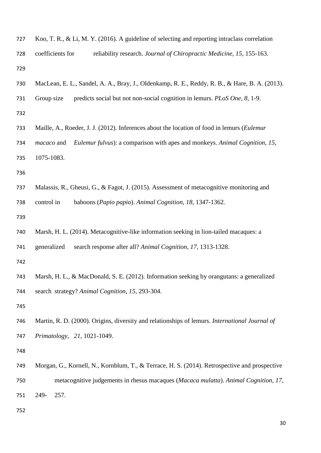| 727 | Koo, T. R., & Li, M. Y. (2016). A guideline of selecting and reporting intraclass correlation   |
|-----|-------------------------------------------------------------------------------------------------|
| 728 | coefficients for<br>reliability research. Journal of Chiropractic Medicine, 15, 155-163.        |
| 729 |                                                                                                 |
| 730 | MacLean, E. L., Sandel, A. A., Bray, J., Oldenkamp, R. E., Reddy, R. B., & Hare, B. A. (2013).  |
| 731 | predicts social but not non-social cognition in lemurs. PLoS One, 8, 1-9.<br>Group size         |
| 732 |                                                                                                 |
| 733 | Maille, A., Roeder, J. J. (2012). Inferences about the location of food in lemurs (Eulemur      |
| 734 | Eulemur fulvus): a comparison with apes and monkeys. Animal Cognition, 15,<br><i>macaco</i> and |
| 735 | 1075-1083.                                                                                      |
| 736 |                                                                                                 |
| 737 | Malassis, R., Gheusi, G., & Fagot, J. (2015). Assessment of metacognitive monitoring and        |
| 738 | baboons (Papio papio). Animal Cognition, 18, 1347-1362.<br>control in                           |
| 739 |                                                                                                 |
| 740 | Marsh, H. L. (2014). Metacognitive-like information seeking in lion-tailed macaques: a          |
| 741 | generalized<br>search response after all? Animal Cognition, 17, 1313-1328.                      |
| 742 |                                                                                                 |
| 743 | Marsh, H. L., & MacDonald, S. E. (2012). Information seeking by orangutans: a generalized       |
| 744 | search strategy? Animal Cognition, 15, 293-304.                                                 |
| 745 |                                                                                                 |
| 746 | Martin, R. D. (2000). Origins, diversity and relationships of lemurs. International Journal of  |
| 747 | Primatology, 21, 1021-1049.                                                                     |
| 748 |                                                                                                 |
| 749 | Morgan, G., Kornell, N., Kornblum, T., & Terrace, H. S. (2014). Retrospective and prospective   |
| 750 | metacognitive judgements in rhesus macaques (Macaca mulatta). Animal Cognition, 17,             |
| 751 | 249-<br>257.                                                                                    |
| 752 |                                                                                                 |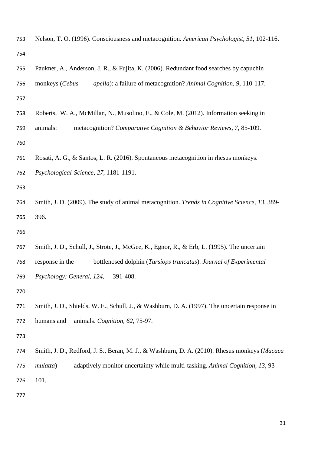| 753 | Nelson, T. O. (1996). Consciousness and metacognition. American Psychologist, 51, 102-116.            |
|-----|-------------------------------------------------------------------------------------------------------|
| 754 |                                                                                                       |
| 755 | Paukner, A., Anderson, J. R., & Fujita, K. (2006). Redundant food searches by capuchin                |
| 756 | apella): a failure of metacognition? Animal Cognition, 9, 110-117.<br>monkeys (Cebus                  |
| 757 |                                                                                                       |
| 758 | Roberts, W. A., McMillan, N., Musolino, E., & Cole, M. (2012). Information seeking in                 |
| 759 | animals:<br>metacognition? Comparative Cognition & Behavior Reviews, 7, 85-109.                       |
| 760 |                                                                                                       |
| 761 | Rosati, A. G., & Santos, L. R. (2016). Spontaneous metacognition in rhesus monkeys.                   |
| 762 | Psychological Science, 27, 1181-1191.                                                                 |
| 763 |                                                                                                       |
| 764 | Smith, J. D. (2009). The study of animal metacognition. <i>Trends in Cognitive Science</i> , 13, 389- |
| 765 | 396.                                                                                                  |
| 766 |                                                                                                       |
| 767 | Smith, J. D., Schull, J., Strote, J., McGee, K., Egnor, R., & Erb, L. (1995). The uncertain           |
| 768 | bottlenosed dolphin (Tursiops truncatus). Journal of Experimental<br>response in the                  |
| 769 | Psychology: General, 124, 391-408.                                                                    |
| 770 |                                                                                                       |
| 771 | Smith, J. D., Shields, W. E., Schull, J., & Washburn, D. A. (1997). The uncertain response in         |
| 772 | animals. Cognition, 62, 75-97.<br>humans and                                                          |
| 773 |                                                                                                       |
| 774 | Smith, J. D., Redford, J. S., Beran, M. J., & Washburn, D. A. (2010). Rhesus monkeys (Macaca          |
| 775 | adaptively monitor uncertainty while multi-tasking. Animal Cognition, 13, 93-<br>mulatta)             |
| 776 | 101.                                                                                                  |
| 777 |                                                                                                       |
|     |                                                                                                       |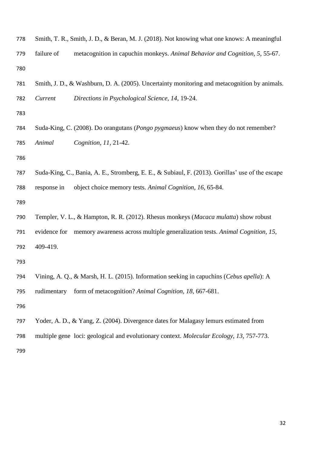| 778 |              | Smith, T. R., Smith, J. D., & Beran, M. J. (2018). Not knowing what one knows: A meaningful      |
|-----|--------------|--------------------------------------------------------------------------------------------------|
| 779 | failure of   | metacognition in capuchin monkeys. Animal Behavior and Cognition, 5, 55-67.                      |
| 780 |              |                                                                                                  |
| 781 |              | Smith, J. D., & Washburn, D. A. (2005). Uncertainty monitoring and metacognition by animals.     |
| 782 | Current      | Directions in Psychological Science, 14, 19-24.                                                  |
| 783 |              |                                                                                                  |
| 784 |              | Suda-King, C. (2008). Do orangutans ( <i>Pongo pygmaeus</i> ) know when they do not remember?    |
| 785 | Animal       | Cognition, 11, 21-42.                                                                            |
| 786 |              |                                                                                                  |
| 787 |              | Suda-King, C., Bania, A. E., Stromberg, E. E., & Subiaul, F. (2013). Gorillas' use of the escape |
| 788 | response in  | object choice memory tests. Animal Cognition, 16, 65-84.                                         |
| 789 |              |                                                                                                  |
| 790 |              | Templer, V. L., & Hampton, R. R. (2012). Rhesus monkeys (Macaca mulatta) show robust             |
| 791 | evidence for | memory awareness across multiple generalization tests. Animal Cognition, 15,                     |
| 792 | 409-419.     |                                                                                                  |
| 793 |              |                                                                                                  |
| 794 |              | Vining, A. Q., & Marsh, H. L. (2015). Information seeking in capuchins (Cebus apella): A         |
| 795 | rudimentary  | form of metacognition? Animal Cognition, 18, 667-681.                                            |
| 796 |              |                                                                                                  |
| 797 |              | Yoder, A. D., & Yang, Z. (2004). Divergence dates for Malagasy lemurs estimated from             |
| 798 |              | multiple gene loci: geological and evolutionary context. Molecular Ecology, 13, 757-773.         |
| 799 |              |                                                                                                  |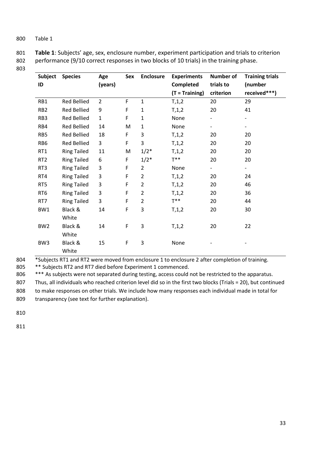| 801 | Table 1: Subjects' age, sex, enclosure number, experiment participation and trials to criterion |
|-----|-------------------------------------------------------------------------------------------------|
| 802 | performance (9/10 correct responses in two blocks of 10 trials) in the training phase.          |

803

| Subject         | <b>Species</b>     | Age            | Sex         | <b>Enclosure</b> | <b>Experiments</b> | Number of                | <b>Training trials</b> |
|-----------------|--------------------|----------------|-------------|------------------|--------------------|--------------------------|------------------------|
| ID              |                    | (years)        |             |                  | Completed          | trials to                | (number                |
|                 |                    |                |             |                  | $(T = Training)$   | criterion                | received***)           |
| RB1             | Red Bellied        | $\overline{2}$ | $\mathsf F$ | $\mathbf 1$      | T, 1, 2            | 20                       | 29                     |
| RB <sub>2</sub> | <b>Red Bellied</b> | 9              | F           | $\mathbf{1}$     | T, 1, 2            | 20                       | 41                     |
| RB3             | <b>Red Bellied</b> | $\mathbf{1}$   | $\mathsf F$ | $\mathbf{1}$     | None               |                          | -                      |
| RB4             | Red Bellied        | 14             | M           | 1                | None               | $\overline{\phantom{0}}$ | $\qquad \qquad -$      |
| RB5             | <b>Red Bellied</b> | 18             | F           | 3                | T, 1, 2            | 20                       | 20                     |
| RB6             | <b>Red Bellied</b> | 3              | F           | 3                | T, 1, 2            | 20                       | 20                     |
| RT1             | <b>Ring Tailed</b> | $11\,$         | M           | $1/2^*$          | T, 1, 2            | 20                       | 20                     |
| RT <sub>2</sub> | <b>Ring Tailed</b> | 6              | $\mathsf F$ | $1/2*$           | $T^{**}$           | 20                       | 20                     |
| RT3             | <b>Ring Tailed</b> | 3              | $\mathsf F$ | $\overline{2}$   | None               | $\overline{\phantom{0}}$ | -                      |
| RT4             | <b>Ring Tailed</b> | 3              | F           | $\overline{2}$   | T, 1, 2            | 20                       | 24                     |
| RT5             | <b>Ring Tailed</b> | 3              | F           | $\overline{2}$   | T, 1, 2            | 20                       | 46                     |
| RT <sub>6</sub> | <b>Ring Tailed</b> | 3              | F           | $\overline{2}$   | T, 1, 2            | 20                       | 36                     |
| RT7             | <b>Ring Tailed</b> | 3              | F           | $\overline{2}$   | $T^*$              | 20                       | 44                     |
| BW1             | Black &            | 14             | F           | 3                | T, 1, 2            | 20                       | 30                     |
|                 | White              |                |             |                  |                    |                          |                        |
| BW <sub>2</sub> | Black &            | 14             | F           | 3                | T, 1, 2            | 20                       | 22                     |
|                 | White              |                |             |                  |                    |                          |                        |
| BW <sub>3</sub> | Black &            | 15             | $\mathsf F$ | 3                | None               |                          |                        |
|                 | White              |                |             |                  |                    |                          |                        |

804 \*Subjects RT1 and RT2 were moved from enclosure 1 to enclosure 2 after completion of training.

805 \*\* Subjects RT2 and RT7 died before Experiment 1 commenced.

806 \*\*\* As subjects were not separated during testing, access could not be restricted to the apparatus.

807 Thus, all individuals who reached criterion level did so in the first two blocks (Trials = 20), but continued

808 to make responses on other trials. We include how many responses each individual made in total for 809 transparency (see text for further explanation).

810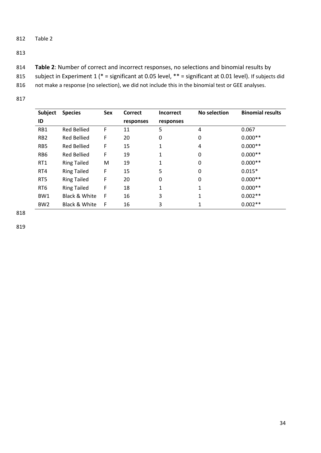813

- 814 **Table 2**: Number of correct and incorrect responses, no selections and binomial results by
- 815 subject in Experiment 1 (\* = significant at 0.05 level, \*\* = significant at 0.01 level). If subjects did
- 816 not make a response (no selection), we did not include this in the binomial test or GEE analyses.
- 817

| <b>Subject</b>  | <b>Species</b>           | Sex | Correct   | <b>Incorrect</b> | No selection | <b>Binomial results</b> |
|-----------------|--------------------------|-----|-----------|------------------|--------------|-------------------------|
| ID              |                          |     | responses | responses        |              |                         |
| RB1             | <b>Red Bellied</b>       | F   | 11        | 5                | 4            | 0.067                   |
| RB <sub>2</sub> | <b>Red Bellied</b>       | F   | 20        | 0                | 0            | $0.000**$               |
| RB <sub>5</sub> | <b>Red Bellied</b>       | F   | 15        | 1                | 4            | $0.000**$               |
| RB <sub>6</sub> | <b>Red Bellied</b>       | F   | 19        | 1                | 0            | $0.000**$               |
| RT1             | <b>Ring Tailed</b>       | M   | 19        | 1                | 0            | $0.000**$               |
| RT4             | <b>Ring Tailed</b>       | F   | 15        | 5                | 0            | $0.015*$                |
| RT5             | <b>Ring Tailed</b>       | F   | 20        | $\mathbf{0}$     | 0            | $0.000**$               |
| RT <sub>6</sub> | <b>Ring Tailed</b>       | F   | 18        | 1                | 1            | $0.000**$               |
| BW <sub>1</sub> | Black & White            | F   | 16        | 3                | 1            | $0.002**$               |
| BW <sub>2</sub> | <b>Black &amp; White</b> | F   | 16        | 3                |              | $0.002**$               |

818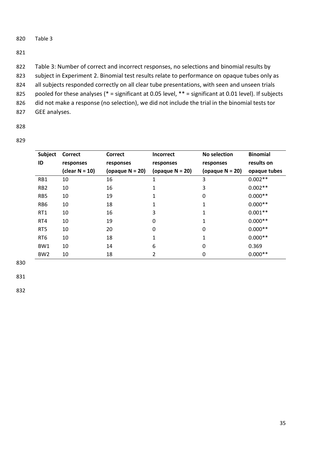#### 821

- 822 Table 3: Number of correct and incorrect responses, no selections and binomial results by 823 subject in Experiment 2. Binomial test results relate to performance on opaque tubes only as 824 all subjects responded correctly on all clear tube presentations, with seen and unseen trials 825 pooled for these analyses (\* = significant at 0.05 level, \*\* = significant at 0.01 level). If subjects 826 did not make a response (no selection), we did not include the trial in the binomial tests tor
- 827 GEE analyses.
- 828

829

| Subject         | <b>Correct</b>    | <b>Correct</b>     | <b>Incorrect</b>   | No selection       | <b>Binomial</b> |
|-----------------|-------------------|--------------------|--------------------|--------------------|-----------------|
| ID              | responses         | responses          | responses          | responses          | results on      |
|                 | (clear $N = 10$ ) | (opaque $N = 20$ ) | (opaque $N = 20$ ) | (opaque $N = 20$ ) | opaque tubes    |
| RB1             | 10                | 16                 | 1                  | 3                  | $0.002**$       |
| RB <sub>2</sub> | 10                | 16                 | 1                  | 3                  | $0.002**$       |
| RB5             | 10                | 19                 | 1                  | $\mathbf 0$        | $0.000**$       |
| RB <sub>6</sub> | 10                | 18                 | 1                  | 1                  | $0.000**$       |
| RT1             | 10                | 16                 | 3                  | 1                  | $0.001**$       |
| RT4             | 10                | 19                 | 0                  | 1                  | $0.000**$       |
| RT <sub>5</sub> | 10                | 20                 | 0                  | 0                  | $0.000**$       |
| RT <sub>6</sub> | 10                | 18                 | 1                  | 1                  | $0.000**$       |
| BW1             | 10                | 14                 | 6                  | 0                  | 0.369           |
| BW <sub>2</sub> | 10                | 18                 | 2                  | 0                  | $0.000**$       |

830

831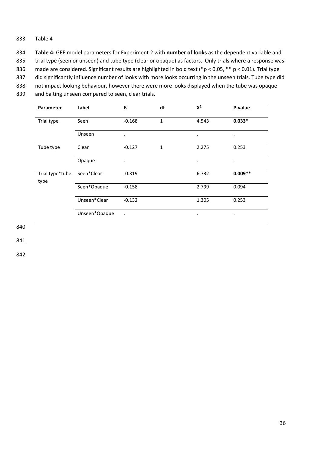834 **Table 4:** GEE model parameters for Experiment 2 with **number of looks** as the dependent variable and

835 trial type (seen or unseen) and tube type (clear or opaque) as factors. Only trials where a response was

836 made are considered. Significant results are highlighted in bold text (\*p < 0.05, \*\* p < 0.01). Trial type

837 did significantly influence number of looks with more looks occurring in the unseen trials. Tube type did

838 not impact looking behaviour, however there were more looks displayed when the tube was opaque

839 and baiting unseen compared to seen, clear trials.

| Parameter               | Label         | ß         | df           | $X^2$     | P-value   |
|-------------------------|---------------|-----------|--------------|-----------|-----------|
| Trial type              | Seen          | $-0.168$  | 1            | 4.543     | $0.033*$  |
|                         | Unseen        | $\bullet$ |              | ٠         | $\bullet$ |
| Tube type               | Clear         | $-0.127$  | $\mathbf{1}$ | 2.275     | 0.253     |
|                         | Opaque        | $\bullet$ |              | $\bullet$ | $\bullet$ |
| Trial type*tube<br>type | Seen*Clear    | $-0.319$  |              | 6.732     | $0.009**$ |
|                         | Seen*Opaque   | $-0.158$  |              | 2.799     | 0.094     |
|                         | Unseen*Clear  | $-0.132$  |              | 1.305     | 0.253     |
|                         | Unseen*Opaque | $\bullet$ |              | ٠         | $\bullet$ |

840

841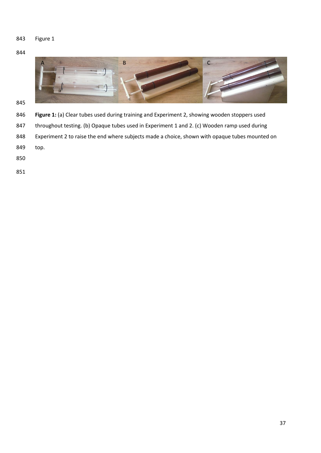Figure 1



- 
- **Figure 1:** (a) Clear tubes used during training and Experiment 2, showing wooden stoppers used
- 847 throughout testing. (b) Opaque tubes used in Experiment 1 and 2. (c) Wooden ramp used during
- Experiment 2 to raise the end where subjects made a choice, shown with opaque tubes mounted on
- top.
- 
-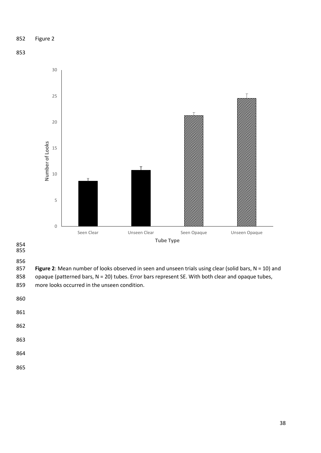# Figure 2





- 
- 
- 

856<br>857 Figure 2: Mean number of looks observed in seen and unseen trials using clear (solid bars, N = 10) and 858 opaque (patterned bars, N = 20) tubes. Error bars represent SE. With both clear and opaque tubes, more looks occurred in the unseen condition.

- 
- 
- 
- 
- 
- 
-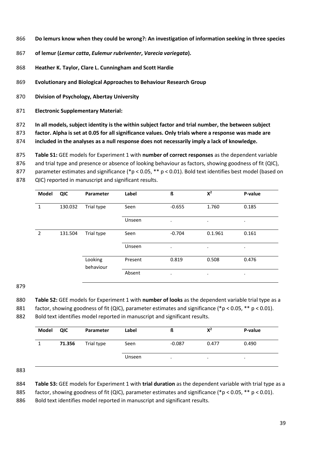- **Do lemurs know when they could be wrong?: An investigation of information seeking in three species**
- **of lemur (***Lemur catta***,** *Eulemur rubriventer***,** *Varecia variegata***).**
- **Heather K. Taylor, Clare L. Cunningham and Scott Hardie**
- **Evolutionary and Biological Approaches to Behaviour Research Group**
- **Division of Psychology, Abertay University**
- **Electronic Supplementary Material:**
- **In all models, subject identity is the within subject factor and trial number, the between subject**

**factor. Alpha is set at 0.05 for all significance values. Only trials where a response was made are** 

**included in the analyses as a null response does not necessarily imply a lack of knowledge.** 

**Table S1:** GEE models for Experiment 1 with **number of correct responses** as the dependent variable

876 and trial type and presence or absence of looking behaviour as factors, showing goodness of fit (QIC),

parameter estimates and significance (\*p < 0.05, \*\* p < 0.01). Bold text identifies best model (based on

QIC) reported in manuscript and significant results.

| Model          | QIC     | Parameter            | Label   | ß         | $X^2$     | P-value   |
|----------------|---------|----------------------|---------|-----------|-----------|-----------|
| $\mathbf{1}$   | 130.032 | Trial type           | Seen    | $-0.655$  | 1.760     | 0.185     |
|                |         |                      | Unseen  | ٠         | $\bullet$ | ٠         |
| $\overline{2}$ | 131.504 | Trial type           | Seen    | $-0.704$  | 0.1.961   | 0.161     |
|                |         |                      | Unseen  | $\bullet$ | $\bullet$ | ٠         |
|                |         | Looking<br>behaviour | Present | 0.819     | 0.508     | 0.476     |
|                |         |                      | Absent  | $\bullet$ | $\bullet$ | $\bullet$ |

**Table S2:** GEE models for Experiment 1 with **number of looks** as the dependent variable trial type as a

881 factor, showing goodness of fit (QIC), parameter estimates and significance (\*p < 0.05, \*\* p < 0.01).

Bold text identifies model reported in manuscript and significant results.

| Model | QIC    | Parameter  | Label  | ß        | $X^2$   | P-value |
|-------|--------|------------|--------|----------|---------|---------|
|       | 71.356 | Trial type | Seen   | $-0.087$ | 0.477   | 0.490   |
|       |        |            | Unseen | $\cdot$  | $\cdot$ | $\cdot$ |

- **Table S3:** GEE models for Experiment 1 with **trial duration** as the dependent variable with trial type as a
- 885 factor, showing goodness of fit (QIC), parameter estimates and significance (\*p < 0.05, \*\* p < 0.01).

886 Bold text identifies model reported in manuscript and significant results.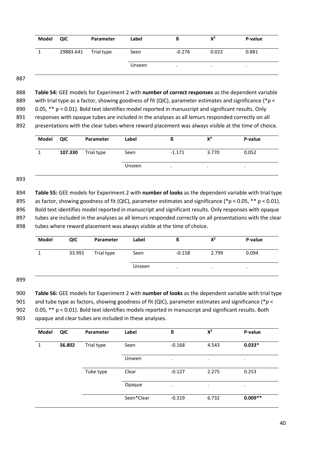| Model | QIC                  | Parameter | Label  | ß        | $X^2$   | P-value |
|-------|----------------------|-----------|--------|----------|---------|---------|
|       | 29883.641 Trial type |           | Seen   | $-0.276$ | 0.022   | 0.881   |
|       |                      |           | Unseen | $\cdot$  | $\cdot$ |         |

888 **Table S4:** GEE models for Experiment 2 with **number of correct responses** as the dependent variable

889 with trial type as a factor, showing goodness of fit (QIC), parameter estimates and significance (\*p <

890 0.05, \*\* p < 0.01). Bold text identifies model reported in manuscript and significant results. Only 891 responses with opaque tubes are included in the analyses as all lemurs responded correctly on all

892 presentations with the clear tubes where reward placement was always visible at the time of choice.

| Model | QIC     | Parameter  | Label  | ß         | $X^2$ | P-value |
|-------|---------|------------|--------|-----------|-------|---------|
|       | 107.330 | Trial type | Seen   | $-1.171$  | 3.770 | 0.052   |
|       |         |            | Unseen | $\bullet$ | ٠     | ٠       |

## 893

894 **Table S5:** GEE models for Experiment 2 with **number of looks** as the dependent variable with trial type 895 as factor, showing goodness of fit (QIC), parameter estimates and significance (\*p < 0.05, \*\* p < 0.01). 896 Bold text identifies model reported in manuscript and significant results. Only responses with opaque 897 tubes are included in the analyses as all lemurs responded correctly on all presentations with the clear 898 tubes where reward placement was always visible at the time of choice.

| <b>Model</b> | QIC    | Parameter  | Label  | ß        | $X^2$ | P-value |
|--------------|--------|------------|--------|----------|-------|---------|
|              | 33.991 | Trial type | Seen   | $-0.158$ | 2.799 | 0.094   |
|              |        |            | Unseen | $\cdot$  |       |         |

# 899

900 **Table S6:** GEE models for Experiment 2 with **number of looks** as the dependent variable with trial type

901 and tube type as factors, showing goodness of fit (QIC), parameter estimates and significance (\*p <

902 0.05, \*\* p < 0.01). Bold text identifies models reported in manuscript and significant results. Both

903 opaque and clear tubes are included in these analyses.

| Model | QIC    | Parameter  | Label      | ß         | $X^2$     | P-value   |
|-------|--------|------------|------------|-----------|-----------|-----------|
| 1     | 56.802 | Trial type | Seen       | $-0.168$  | 4.543     | $0.033*$  |
|       |        |            | Unseen     | $\bullet$ | $\bullet$ | $\bullet$ |
|       |        | Tube type  | Clear      | $-0.127$  | 2.275     | 0.253     |
|       |        |            | Opaque     | $\bullet$ | $\bullet$ | $\bullet$ |
|       |        |            | Seen*Clear | $-0.319$  | 6.732     | $0.009**$ |